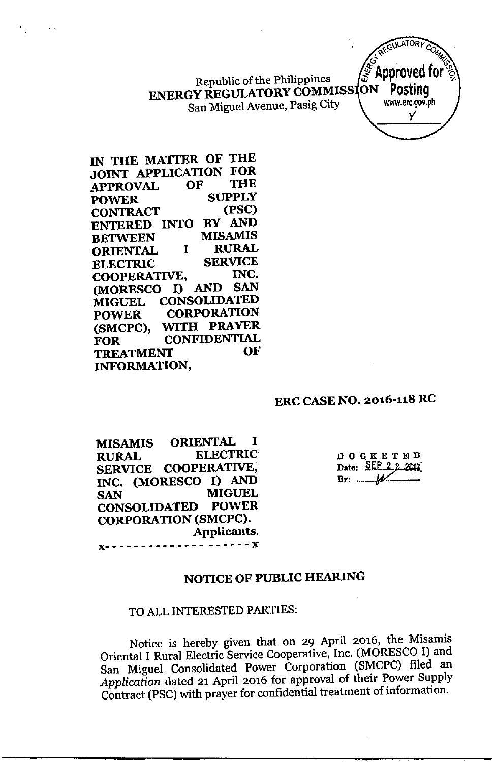Republic of the Philippines  $\frac{1}{2}$  **Apple veu ENERGY REGULATORY COMMISSION POSTING**<br>Son Miguel Avenue Pasig City San Miguel Avenue, Pasig City

**IN THE MATTER OF THE JOINT APPLICATION FOR APPROVAL OF THE POWER SUPPLY**  $$ **ENTERED INTO BY AND BETWEEN MISAMIS<br>
ORIENTAL I RURAL ORIENTAL I RURAL ELECTRIC SERVICE COOPERATIVE, INC. (MORESCO I) AND SAN MIGUEL CONSOLIDATED POWER CORPORATION (SMCPC), WITH PRAYER FOR CONFIDENTIAL TREATMENT OF INFORMATION,**

### **ERC CASE NO. 2016-118 RC**

**MISAMIS ORIENTAL I RURAL ELECTRIC SERVICE COOPERATIVE, INC. (MORESCO I) AND SAN MIGUEL CONSOLIDATED POWER CORPORATION (SMCPC). Applicants. x- - - - - - - - - - - - - - - - - - - - x**

DOCKETED Date:  $SEP_2 2.2012$  $\mathbf{B} \mathbf{y}: \dots \dots \mathbf{A}$ 

GULAIORY C  $e^{x}$ <sup> $\alpha$ </sup> **6'. ~~~~~~~~~~~~~~~~~~~~~~~~~~~~~~~~~**~~~~ **ADDrOVED TO!** 

y'

## NOTICE OF PUBLIC HEARING

### TO ALL INTERESTED PARTIES:

Notice is hereby given that on 29 April 2016, the Misamis Oriental I Rural Electric Service Cooperative, Inc. (MORESCO I) and San Miguel Consolidated Power Corporation (SMCPC) filed an *Application* dated 21 April 2016 for approval of their Power Supply Contract (PSC) with prayer for confidential treatment of information.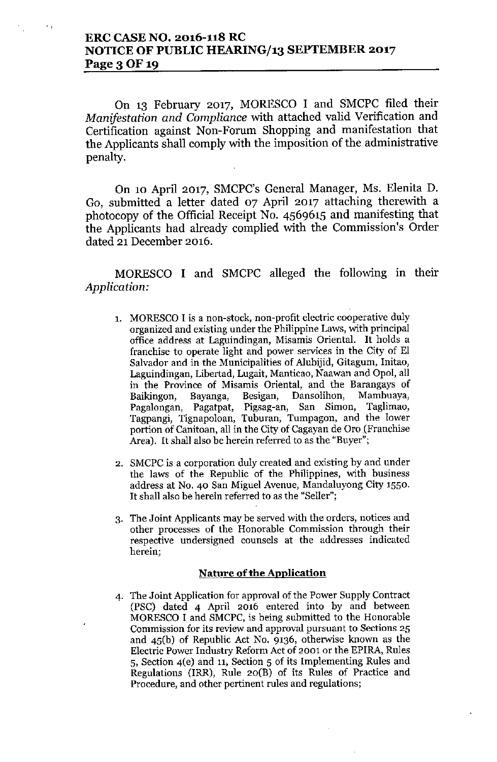## ERC CASE NO. 2016-118 RC NOTICE OF PUBLIC HEARING/13 SEPTEMBER 2017 Page 3 OF 19

On 13 February 2017, MORESCO I and SMCPC filed their *Manifestation and Compliance* with attached valid Verification and Certification against Non-Forum Shopping and manifestation that the Applicants shall comply with the imposition of the administrative penalty.

On 10 April 2017, SMCPC's General Manager, Ms. Elenita D. Go, submitted a letter dated 07 April 2017 attaching therewith a photocopy of the Official Receipt No. 4569615 and manifesting that the Applicants had already complied with the Commission's Order dated 21 December 2016.

MORESCO I and SMCPC alleged the following in their *Application:*

- 1. MORESCO I is a non-stock, non-profit electric cooperative duly organized and existing under the Philippine Laws, with principal office address at Laguindingan, Misamis Oriental. It holds a franchise to operate light and power services in the City of EI Salvador and in the Municipalities of Alubijid, Gitagum, Initao, Laguindingan, Libertad, Lugait, Manticao, Naawan and Opol, all in the Province of Misamis Oriental, and the Barangays of Baikingon, Bayanga, Besigan, Dansolihon, Mambuaya, Pagalongan, Pagatpat, Pigsag-an, San Simon, Taglimao, Tagpangi, Tignapoloan, Tuburan, Tumpagon, and the lower portion of Canitoan, all in the City of Cagayan de Oro (Franchise Area). It shall also be herein referred to as the "Buyer";
- 2. SMCPC is a corporation duly created and existing by and under the laws of the Republic of the Philippines, with business address at No. 40 San Miguel Avenue, Mandaluyong City 1550. It shall also be herein referred to as the "Seller";
- 3. The Joint Applicants may be served with the orders, notices and other processes of the Honorable Commission through their respective undersigned counsels at the addresses indicated herein;

### Nature of the Application

4. The Joint Application for approval of the Power Supply Contract (PSC) dated 4 April *2016* entered into by and between MORESCO I and SMCPC, is being submitted to the Honorable Commission for its review and approval pursuant to Sections 25 and 45(b) of Republic Act No. 9136, otherwise known as the Electric Power Industry Reform Act of 2001 or the EPlRA, Rules 5, Section 4(e) and 11, Section 5 of its Implementing Rules and Regulations (IRR), Rule  $20(B)$  of its Rules of Practice and Procedure, and other pertinent rules and regulations;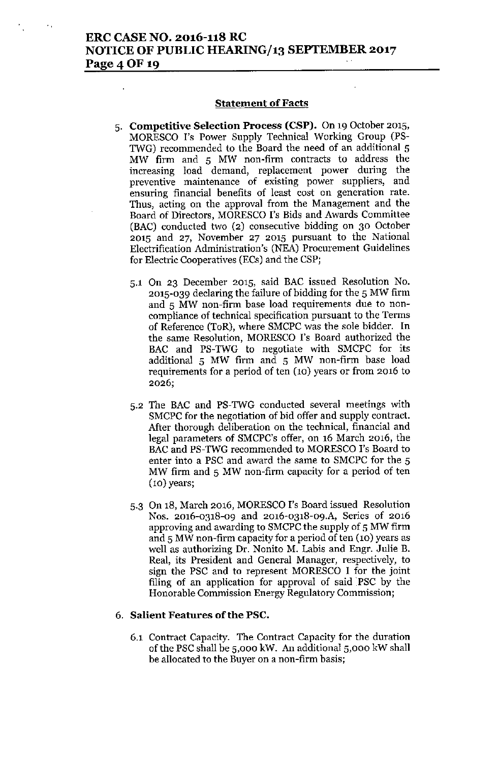### ERC CASE NO. 2016-118 RC NOTICE OF PUBLIC HEARING/13 SEPTEMBER 2017 Page 4 OF 19

#### **Statement of Facts**

- 5. Competitive Selection Process (CSP). On 19 October 2015, MORESCO I's Power Supply Technical Working Group (PS-TWG) recommended to the Board the need of an additional 5 MW firm and 5 MW non-firm contracts to address the increasing load demand, replacement power during the preventive maintenance of existing power suppliers, and ensuring financial benefits of least cost on generation rate. Thus, acting on the approval from the Management and the Board of Directors, MORESCO I's Bids and Awards Committee (BAC) conducted two (2) consecutive bidding on 30 October 2015 and 27, November 27 2015 pursuant to the National Electrification Administration's (NEA) Procurement Guidelines for Electric Cooperatives (ECs) and the CSP;
	- 5.1 On 23 December 2015, said BAC issued Resolution No. 2015-039 declaring the failure of bidding for the 5 MW firm and 5 MW non-firm base load requirements due to noncompliance of technical specification pursuant to the Terms of Reference (ToR), where SMCPC was the sole bidder. In the same Resolution, MORESCO I's Board authorized the BAC and PS-TWG to negotiate with SMCPC for its additional 5 MW firm and 5 MW non-firm base load requirements for a period of ten (10) years or from 2016 to 2026;
	- 5.2 The BAC and PS-TWG conducted several meetings with SMCPC for the negotiation of bid offer and supply contract. After thorough deliberation on the technical, financial and legal parameters of SMCPC's offer, on 16 March 2016, the BAC and PS-TWG recommended to MORESCO I's Board to enter into a PSC and award the same to SMCPC for the 5 MW firm and 5 MW non-firm capacity for a period of ten (10) years;
	- 5.3 On 18, March 2016, MORESCO I's Board issued Resolution Nos. 2016-0318-09 and 2016-0318-09.A, Series of 2016 approving and awarding to SMCPC the supply of 5 MW firm and 5 MW non-firm capacity for a period of ten (10) years as well as authorizing Dr. Nonito M. Labis and Engr. Julie B. Real, its President and General Manager, respectively, to sign the PSC and to represent MORESCO I for the joint filing of an application for approval of said PSC by the Honorable Commission Energy Regulatory Commission;

#### 6. Salient Features ofthe PSC.

6.1 Contract Capacity. The Contract Capacity for the duration of the PSC shall be 5,000 kW. Au additional 5,000 kW shall be allocated to the Buyer on a non-firm basis;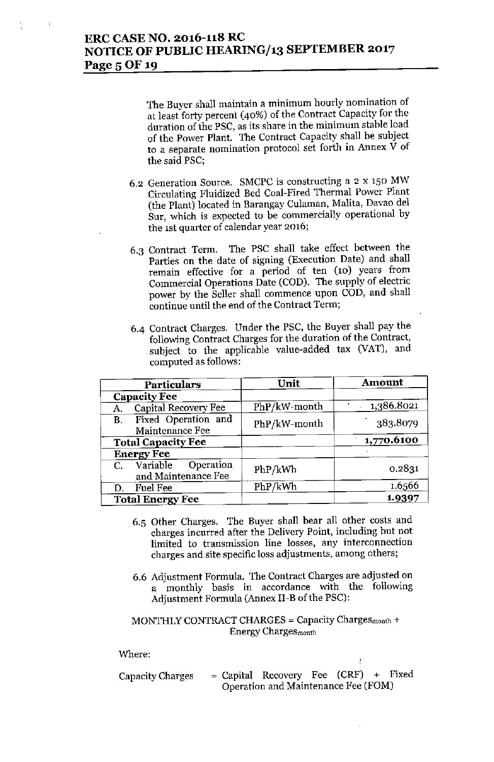The Buyer shall maintain a minimum hourly nomination of at least forty percent (40%) of the Contract Capacity for the duration of the PSC, as its share in the minimum stable load of the Power Plant. The Contract Capacity shall be subject to a separate nomination protocol set forth in Annex  $\dot{V}$  of the said PSC;

- 6.2 Generation Source. SMCPC is constructing a 2 x 150 MW Circulating Fluidized Bed Coal-Fired Thermal Power Plant (the Plant) located in Barangay Culaman, Malita, Davao del Sur, which is expected to be commercially operational by the 1st quarter of calendar year 2016;
- 6.3 Contract Term. The PSC shall take effect between the Parties on the date of signing (Execution Date) and shall remain effective for a period of ten (10) years from Commercial Operations Date (COD). The supply of electric power by the Seller shall commence upon COD, and shall continue until the end of the Contract Term;
- 6-4 Contract Charges. Under the PSC, the Buyer shall pay the following Contract Charges for the duration of the Contract, subject to the applicable value-added tax (VAT), and computed as follows:

| <b>Particulars</b>                                  | Unit         | Amount     |
|-----------------------------------------------------|--------------|------------|
| <b>Capacity Fee</b>                                 |              |            |
| Capital Recovery Fee<br>А.                          | PhP/kW-month | 1,386.8021 |
| Fixed Operation and<br><b>B.</b><br>Maintenance Fee | PhP/kW-month | 383.8079   |
| <b>Total Capacity Fee</b>                           |              | 1,770.6100 |
| <b>Energy Fee</b>                                   |              |            |
| C. Variable Operation<br>and Maintenance Fee        | PhP/kWh      | 0.2831     |
| <b>Fuel Fee</b><br>D.                               | PhP/kWh      | 1.6566     |
| <b>Total Energy Fee</b>                             |              | 1.9397     |

- 6.5 Other Charges. Tbe Buyer shall bear all other costs and charges incurred after the Delivery Point, including but not limited to transmission line losses, any interconnection charges and site specific loss adjustments, among others;
- 6.6 Adjustment Formula. The Contract Charges are adjusted on a monthly basis in accordance with the following Adjustment Formula (Annex II-B of the PSC):

### MONTHLY CONTRACT CHARGES = Capacity Chargesmonth + Energy Charges month

Where:

| Capacity Charges |  | $=$ Capital Recovery Fee (CRF) + Fixed |  |  |
|------------------|--|----------------------------------------|--|--|
|                  |  | Operation and Maintenance Fee (FOM)    |  |  |

Ŷ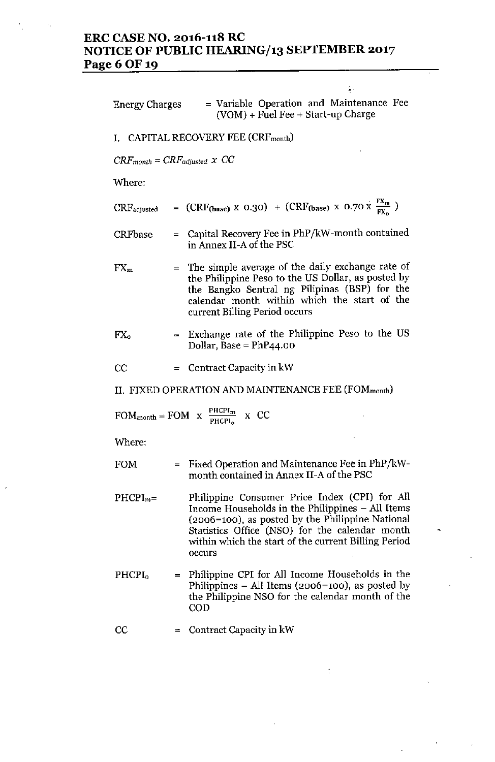## **ERC CASE NO. 2016-118 RC NOTICE OF PUBLIC HEARING/13 SEPTEMBER 2017 Page60F 19**

| Energy Charges                           |   | = Variable Operation and Maintenance Fee<br>(VOM) + Fuel Fee + Start-up Charge                                                                                                                                                                                            |
|------------------------------------------|---|---------------------------------------------------------------------------------------------------------------------------------------------------------------------------------------------------------------------------------------------------------------------------|
|                                          |   | I. CAPITAL RECOVERY FEE (CRF <sub>month</sub> )                                                                                                                                                                                                                           |
| $CRF_{month} = CRF_{adjusted} \times CC$ |   |                                                                                                                                                                                                                                                                           |
| Where:                                   |   |                                                                                                                                                                                                                                                                           |
| $\rm CRF_{adjusted}$                     |   | = $(CRF_{\text{(base)}} \times 0.30)$ + $(CRF_{\text{(base)}} \times 0.70 \times \frac{FX_m}{FX}$ )                                                                                                                                                                       |
| <b>CRFbase</b>                           |   | $=$ Capital Recovery Fee in PhP/kW-month contained<br>in Annex II-A of the PSC                                                                                                                                                                                            |
| $FX_m$                                   |   | $=$ The simple average of the daily exchange rate of<br>the Philippine Peso to the US Dollar, as posted by<br>the Bangko Sentral ng Pilipinas (BSP) for the<br>calendar month within which the start of the<br>current Billing Period occurs                              |
| $FX_{o}$                                 |   | = Exchange rate of the Philippine Peso to the US<br>Dollar, Base = $PhP44.00$                                                                                                                                                                                             |
| $_{\rm CC}$                              |   | $=$ Contract Capacity in kW                                                                                                                                                                                                                                               |
|                                          |   | II. FIXED OPERATION AND MAINTENANCE FEE (FOM <sub>month</sub> )                                                                                                                                                                                                           |
|                                          |   | FOM <sub>month</sub> = FOM x $\frac{PHCPI_m}{PHCPI_o}$ x CC                                                                                                                                                                                                               |
| Where:                                   |   |                                                                                                                                                                                                                                                                           |
| <b>FOM</b>                               |   | $=$ Fixed Operation and Maintenance Fee in PhP/kW-<br>month contained in Annex II-A of the PSC                                                                                                                                                                            |
| $PHCPI_m=$                               |   | Philippine Consumer Price Index (CPI) for All<br>Income Households in the Philippines - All Items<br>(2006=100), as posted by the Philippine National<br>Statistics Office (NSO) for the calendar month<br>within which the start of the current Billing Period<br>occurs |
| <b>PHCPI<sub>0</sub></b>                 |   | = Philippine CPI for All Income Households in the<br>Philippines – All Items (2006=100), as posted by<br>the Philippine NSO for the calendar month of the<br>COD                                                                                                          |
| $_{\rm CC}$                              | ≕ | Contract Capacity in kW                                                                                                                                                                                                                                                   |
|                                          |   |                                                                                                                                                                                                                                                                           |

 $\boldsymbol{\gamma}$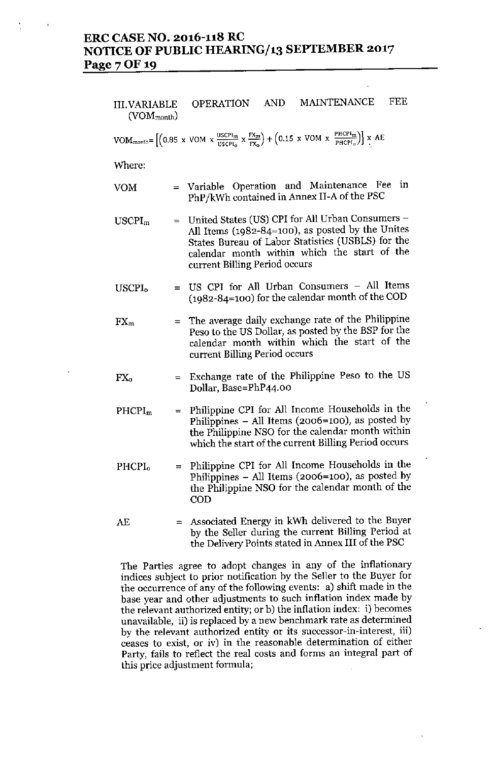## **ERC CASE NO. 2016-118 RC NOTICE OF PUBLIC HEARING/13 SEPTEMBER 2017 Page70F 19**

III.VARIABLE OPERATION AND MAINTENANCE FEE  $(VOM_{month})$ 

VOM<sub>month</sub>= 
$$
\left[ \left( 0.85 \times \text{VOM} \times \frac{\text{USCP1}_m}{\text{USCP1}_0} \times \frac{\text{FX}_m}{\text{FX}_0} \right) + \left( 0.15 \times \text{VOM} \times \frac{\text{PHCP1}_m}{\text{PHCP1}_0} \right) \right] \times AE
$$

**Where:**

- YOM **== Variable Operation and Maintenance Fee in** PhP/kWh contained in Annex II-A of the PSC
- USCPI<sup>m</sup> ~ United States (US) CPI for All Urban Consnmers-All Items (1982-84=100), as posted by the Unites States Bureau of Labor Statistics (USBLS) for the calendar month within which the start of the **current Billing Period occurs**
- USCPI, = US CPI for All Urban Consumers - All Items (1982-84=100) for the calendar month of the COD
- $FX<sub>m</sub>$ The average daily exchange rate of the Philippine Peso to the US Dollar, as posted by the BSP for the calendar month within which the start of the **current Billing Period occurs**
- = Exchange rate of the Philippine Peso to the US  $FX_0$ Dollar, Base=PhP44.00
- PHCPI<sup>m</sup>  $=$  Philippine CPI for All Income Households in the Philippines  $-$  All Items (2006=100), as posted by the Philippine NSO for the calendar month within **which the start of the current Billing Period occurs**
- PHCPI<sub>0</sub> = Philippine CPI for All Income Households in the Philippines  $-$  All Items (2006=100), as posted by the Philippine NSO for the calendar month of the COD
- AE **= Associated Energy in kWh delivered to the Buyer** by the Seller during the current Billing Period at the Delivery Points stated in Annex III of the PSC

**The Parties agree to adopt changes in any of the inflationary indices subject to prior notification by the Seller to the Buyer for the occurrence of any of the following events: a) shift made in the base year and other adjustments to such inflation index made by the relevant authorized entity; or b) the inflation index: i) becomes unavailable, ii) is replaced by a new benchmark rate as determined by the relevant authorized entity or its successor-in-interest, iii) ceases to exist, or iv) in the reasonable determination of either Party, fails to reflect the real costs and forms an integral part of this price adjustment formula;**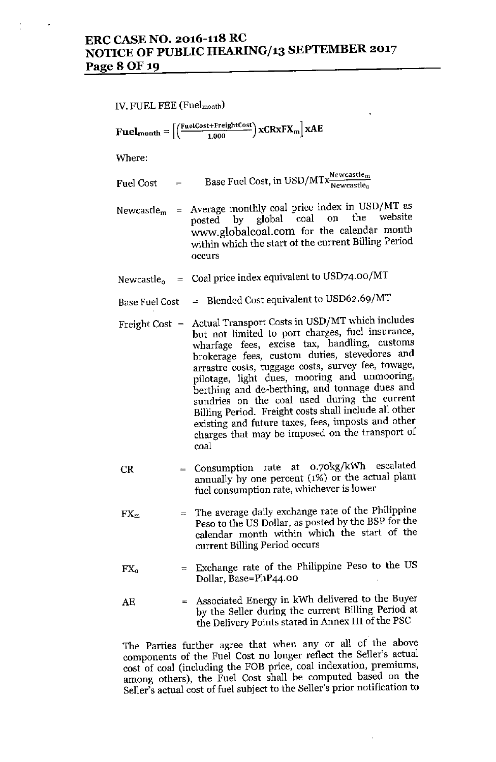## **ERC CASE NO. 2016-118 RC NOTICE OF PUBLIC HEARING/13 SEPTEMBER 2017 Page 80F19**

#### IV. FUEL FEE (Fuelmonth)

 $\mathbf{Fuelmonth} = \left[ \left( \frac{\text{FuelCost+Fregularmost}}{1,000} \right) \mathbf{XCRxFX_m} \right] \mathbf{XAE}$ 

**Where:**

 $\text{Fuel Cost}$  = Base Fuel Cost, in USD/MTx $\frac{\text{Newcasten}_{\text{me}}}{\text{Newcastle}_{\text{me}}}.$ 

- **Newcastle<sub>m</sub>** = **Average monthly** coal price index in USD/MT as posted by global coal on the website global coal on the [www.globalcoal.com](http://www.globalcoal.com) for the calendar month within which the start of the current Billing Period **occurs**
- Newcastle $_{\rm o}$   $\,$  =  $\,$  Coal price index equivalent to USD74.00/M
- Base Fuel Cost = Blended Cost equivalent to USD62.69/MT
- Freight Cost = Actual Transport Costs in USD/MT which includes **but not limited to port charges, fuel insurance, wharfage fees, excise tax, handling, customs brokerage fees, custom duties, stevedores and arrastre costs, tuggage costs, survey fee, towage, pilotage, light dues, mooring and unmooring, berthing and de-berthing, and tonnage dues and sundries on the coal used during the current** Billing Period. Freight costs shall include all other **existing and future taxes, fees, imposts and other charges that may be imposed on the transport of coal**
- $CR =$  Consumption rate at  $0.70\text{kg/kWh}$  escalated annually by one percent (1%) or the actual plant **fuel consumption rate, whichever is lower**
- **FX<sup>m</sup> ::::: The average daily exchange rate of the Philippine** Peso to the US Dollar, as posted by the BSP for the **calendar month within which the start of the current Billing Period occurs**
- = Exchange rate of the Philippine Peso to the US  $FX_0$ Dollar, Base=PhP44.00
- **AE :::::Associated Energy in kWh delivered to the Buyer** by the Seller during the current Billing Period at the Delivery Points stated in Annex III of the PSC

**The Parties further agree that when any or all of the above components of the Fuel Cost no longer reflect the Seller's actual cost of coal (including the FOB price, coal indexation, premiums,** among others), the Fuel Cost shall be computed based on the **Seller's actual cost** of fuel **subject to the Seller's prior notification to**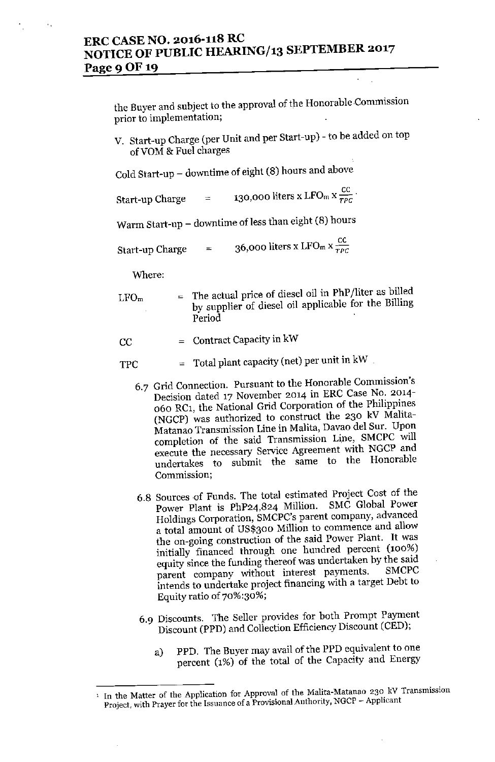## **ERC CASE NO. 2016-118 RC NOTICE OF PUBLIC HEARING/13 SEPTEMBER 2017** Page 9 OF 19

**the Buyer and subject to the approval of the Honorable .Commission prior to implementation;**

V. Start-up Charge (per Unit and per Start-up) - to be added on top ofVOM & Fuel charges

Cold Start-up - downtime of eight (8) hours and above

**130,000 liters x LFO**m **x**  $\frac{cc}{TPC}$ 

Warm Start-up  $-$  downtime of less than eight (8) hours

**36,000** liters **x** LFO<sub>m</sub>  $x \frac{cc}{r^{\rho}c}$ Start-up Charge  $=$ 

**Where:**

 $LFO<sub>m</sub>$  = The actual price of diesel oil in PhP/liter as billed by supplier of diesel oil applicable for the Billing Period

 $CC =$  Contract Capacity in kW

- $TPC = Total plant capacity (net) per unit in kW$ 
	- **6.7 Grid Connection. Pursuant to the Honorable Commission's Decision dated 17 November 2014 in ERe Case No. 2014-** 060 RC1, the National Grid Corporation of the Phiiippines (NGCP) was authorized to construct the 230 kV Malita-**Matanao Transmission Line in Malita, Davao del Sur. Upon completion of the said Transmission Line, SMCPC will execute the necessary Service Agreement with NGCP and undertakes to submit the same to the Honorable Commission;**
	- **6.8 Sources** ,of **Funds. The total estimated Project Cost of the** Power Plant is PhP24,824 Million. SMC Global Power **Holdings Corporation, SMCPC'sparent company, advanced a total amount of US\$300 Million to commence and allow the on-going construction of the said Power Plant. It was initially financed through one hundred percent (100%) equity since the funding thereof was undertaken by the said**  $\mu$  **parent** company without interest payments. **intends to undertake project financing with a target Debt to Equity ratio of 70%:30%;**
	- 6.9 Discounts. The Seller provides for both Prompt Payment Discount (PPD) and Collection Efficiency Discount (CED);
		- a) PPD. The Buyer may avaii of the PPD equivaient to one percent (1%) of the total of the Capacity and Energy

<sup>1</sup> **In the Matter of the Application for Approval of the Malita-Matanao 230 kV Transmission Project, with Prayer for the Issuance of a Provisional Authority, NGCP - Applicant**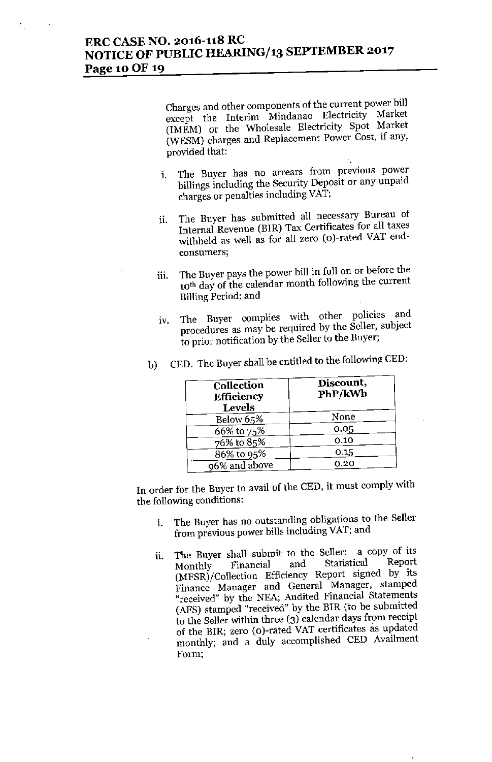## **ERC CASE NO. 2016-118 RC NOTICE OF PUBLIC HEARING/13 SEPTEMBER 2017 Page** 10OF **19**

**Charges and other components of the current power bill except the Interim Mindanao Electricity Market** (IMEM) or the Wholesale Electricity Spot Market (WESM) charges and Replacement Power Cost, if any, provided that:

- **1. The Buyer has no arrears from previous power** hillings including the Security Deposit or any unpaid **charges or penalties including VAT;**
- **11. The Buyer has submitted all necessary Bureau of** Internal Revenue (BIR) Tax Certificates for all taxes withheld as well as for all zero (o)-rated VAT end**consumers;**
- lii. The Buyer pays the power bill in full on or before the **10th day of the calendar month following the current Billing Period; and**
- **IV. The Buyer complies with other policies and procedures as may be required by the Seller, subject** to prior notification by the Seller to the Buyer;

| Collection<br>Efficiency<br>Levels | Discount,<br>PhP/kWh |
|------------------------------------|----------------------|
| Below 65%                          | None                 |
| 66% to 75%                         | 0.05                 |
| 76% to 85%                         | 0.10                 |
| 86% to 95%                         | 0.15                 |
| 96% and above                      | 0.20                 |

b) CED. The Buyer shall be entitled to the following CED:

In order for the Buyer to avail of the CED, it must comply with **the following conditions:**

- **i. The Buyer has no outstanding obligations to the Seller from previous power bills including VAT; and**
- ii. The Buyer shall submit to the Seller: a copy of its<br>Monthly Financial and Statistical Report **Monthly Financial and Statistical Report** (MFSR)/Collection Efficiency Report signed by its **Finance Manager and General Manager, stamped "received" by the NEA; Audited Financial Statements** (AFS) stamped "received" by the BIR (to be submitted to the Seller within three (3) calendar days from receipt of the BIR; zero (o)-rated VAT certificates as updated monthly; and a duly accomplished CED Availment **Form;**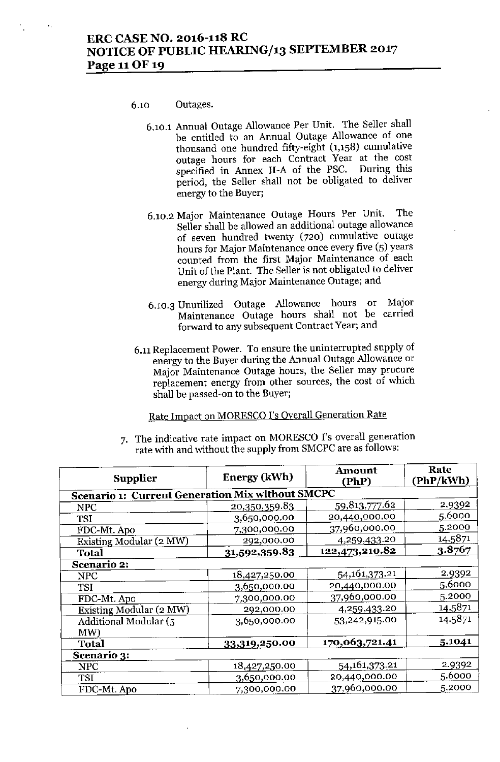#### 6.10 Outages.

- 6.10.1 Annual Outage Allowance Per Unit. The Seller shall be entitled to an Annual Outage Allowance of one thousand one hundred fifty-eight (1,158) cumulative outage hours for each Contract Year at the cost specified in Annex II-A of the PSC. During this specified in Annex II-A of the PSC. period, the Seller shall not be obligated to deliver energy to the Buyer;
- 6.10.2 Major Maintenance Outage Hours Per Unit. The Seller shall be allowed an additional ontage allowance of seven hundred twenty (720) cumulative outage hours for Major Maintenance once every five (5) years counted from the first Major Maintenance of each Unit of the Plant. The Seller is not obligated to deliver energy during Major Maintenance Outage; and
- 6.10.3 Unutilized Outage Allowance hours or Major Maintenance Outage hours shall not be carried forward to any subsequent Contract Year; and
- 6.11Replacement Power. To ensure the uninterrupted supply of energy to the Buyer during the Annual Outage Allowance or Major Maintenance Outage hours, the Seller may procure replacement energy from other sources, the cost of which shall be passed-on to the Buyer;

# Rate Impact on MORESCO I's Overall Generation Rate

7. The indicative rate impact on MORESCO 1's overall generation rate with and without the supply from SMCPC are as follows:

| Supplier                                                | Energy (kWh)  | Amount<br>(PhP)  | Rate<br>(PhP/kWh) |  |  |
|---------------------------------------------------------|---------------|------------------|-------------------|--|--|
| <b>Scenario 1: Current Generation Mix without SMCPC</b> |               |                  |                   |  |  |
| <b>NPC</b>                                              | 20,350,359.83 | 59,813,777.62    | 2.9392            |  |  |
| <b>TSI</b>                                              | 3,650,000.00  | 20,440,000.00    | 5.6000            |  |  |
| FDC-Mt. Apo                                             | 7,300,000.00  | 37,960,000.00    | 5.2000            |  |  |
| Existing Modular (2 MW)                                 | 292,000.00    | 4,259,433.20     | 14.5871           |  |  |
| <b>Total</b>                                            | 31,592,359.83 | 122,473,210.82   | 3.8767            |  |  |
| Scenario 2:                                             |               |                  |                   |  |  |
| <b>NPC</b>                                              | 18,427,250.00 | 54, 161, 373. 21 | 2.9392            |  |  |
| TSI                                                     | 3,650,000.00  | 20,440,000.00    | 5.6000            |  |  |
| FDC-Mt. Apo                                             | 7,300,000.00  | 37,960,000.00    | 5.2000            |  |  |
| Existing Modular (2 MW)                                 | 292,000.00    | 4,259,433.20     | 14.5871           |  |  |
| Additional Modular (5                                   | 3,650,000.00  | 53,242,915.00    | 14.5871           |  |  |
| MW                                                      |               |                  |                   |  |  |
| <b>Total</b>                                            | 33,319,250.00 | 170,063,721.41   | 5.1041            |  |  |
| Scenario 3:                                             |               |                  |                   |  |  |
| <b>NPC</b>                                              | 18,427,250.00 | 54, 161, 373, 21 | 2.9392            |  |  |
| <b>TSI</b>                                              | 3,650,000.00  | 20,440,000.00    | 5.6000            |  |  |
| FDC-Mt. Apo                                             | 7,300,000.00  | 37,960,000.00    | 5.2000            |  |  |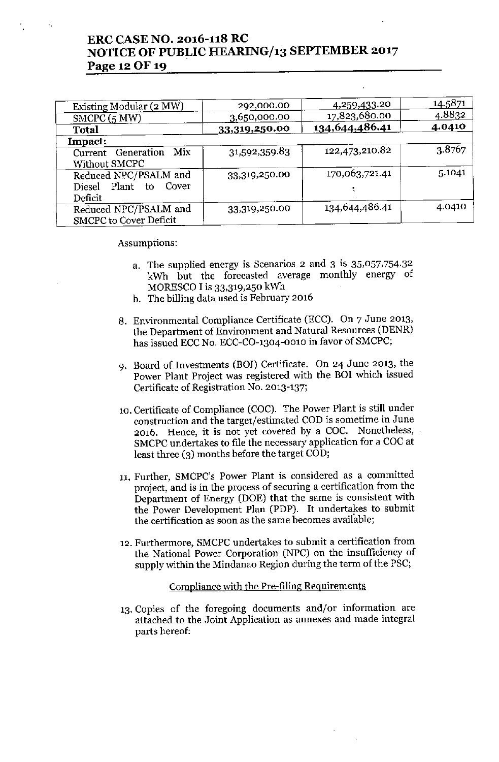## ERC CASE NO. 2016-118 RC NOTICE OF PUBLIC HEARING/13 SEPTEMBER 2017 Page 12 OF 19

| Existing Modular (2 MW)                                         | 292,000.00    | 4,259,433.20   | 14.5871 |
|-----------------------------------------------------------------|---------------|----------------|---------|
| SMCPC(5 MW)                                                     | 3,650,000.00  | 17,823,680.00  | 4.8832  |
| <b>Total</b>                                                    | 33,319,250.00 | 134,644,486.41 | 4.0410  |
| Impact:                                                         |               |                |         |
| Mix<br>Current Generation<br>Without SMCPC                      | 31,592,359.83 | 122,473,210.82 | 3.8767  |
| Reduced NPC/PSALM and<br>Diesel Plant<br>Cover<br>to<br>Deficit | 33,319,250.00 | 170,063,721.41 | 5.1041  |
| Reduced NPC/PSALM and<br><b>SMCPC</b> to Cover Deficit          | 33,319,250.00 | 134,644,486.41 | 4.0410  |

Assumptions:

- a. The supplied energy is Scenarios 2 and 3 is  $35,057,754.32$ kWh but the forecasted average monthly energy of MORESCO I is  $33,319,250$  kWh
- b. The billing data used is February 2016
- 8. Environmental Compliance Certificate (ECC). On 7 June 2013, the Department of Environment and Natural Resources (DENR) has issued ECC No. ECC-CO-1304-001O in favor of SMCPC;
- 9. Board of Investments (BOI) Certificate. On 24 June 2013, the Power Plant Project was registered with the BOI which issued Certificate of Registration No. 2013-137;
- 10. Certificate of Compliance (COC). The Power Plant is still under construction and the target/estimated COD is sometime in June 2016. Hence, it is not yet covered by a COC. Nonetheless, SMCPC undertakes to file the necessary application for a COC at least three (3) months before the target COD;
- 11. Further, SMCPC's Power Plant is considered as a committed project, and is in the process of securing a certification from the Department of Energy (DOE) that the same is consistent with the Power Development Plan (PDP). It undertakes to submit the certification as soon as the same becomes available;
- 12. Furthermore, SMCPC undertakes to submit a certification from the National Power Corporation (NPC) on the insufficiency of supply within the Mindanao Region during the term of the PSC;

#### Compliance with the Pre-filing Requirements

13.Copies of the foregoing documents and/or information are attached to the Joint Application as annexes and made integral parts hereof: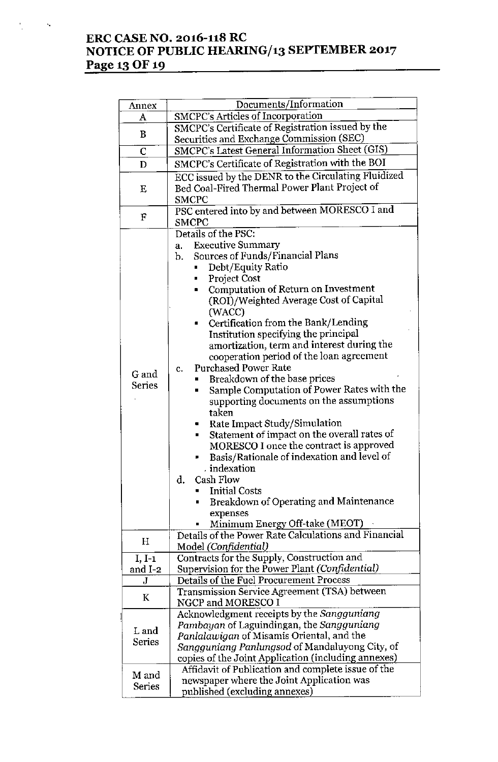## **ERC CASE NO. 2016-118 RC NOTICE OF PUBLIC HEARING/13 SEPTEMBER 2017 Page 13 OF 19**

 $\epsilon_{\rm s}$ 

| Annex                  | Documents/Information                                                                                                                                                                                                                                                                                                                                                                                                                                                                                                                                                                                                                                                                                                                                                                                             |
|------------------------|-------------------------------------------------------------------------------------------------------------------------------------------------------------------------------------------------------------------------------------------------------------------------------------------------------------------------------------------------------------------------------------------------------------------------------------------------------------------------------------------------------------------------------------------------------------------------------------------------------------------------------------------------------------------------------------------------------------------------------------------------------------------------------------------------------------------|
| A                      | SMCPC's Articles of Incorporation                                                                                                                                                                                                                                                                                                                                                                                                                                                                                                                                                                                                                                                                                                                                                                                 |
| B                      | SMCPC's Certificate of Registration issued by the<br>Securities and Exchange Commission (SEC)                                                                                                                                                                                                                                                                                                                                                                                                                                                                                                                                                                                                                                                                                                                     |
| C                      | SMCPC's Latest General Information Sheet (GIS)                                                                                                                                                                                                                                                                                                                                                                                                                                                                                                                                                                                                                                                                                                                                                                    |
|                        | SMCPC's Certificate of Registration with the BOI                                                                                                                                                                                                                                                                                                                                                                                                                                                                                                                                                                                                                                                                                                                                                                  |
| D                      |                                                                                                                                                                                                                                                                                                                                                                                                                                                                                                                                                                                                                                                                                                                                                                                                                   |
| E                      | ECC issued by the DENR to the Circulating Fluidized<br>Bed Coal-Fired Thermal Power Plant Project of<br><b>SMCPC</b>                                                                                                                                                                                                                                                                                                                                                                                                                                                                                                                                                                                                                                                                                              |
| F                      | PSC entered into by and between MORESCO I and<br><b>SMCPC</b>                                                                                                                                                                                                                                                                                                                                                                                                                                                                                                                                                                                                                                                                                                                                                     |
| G and<br><b>Series</b> | Details of the PSC:<br><b>Executive Summary</b><br>a.<br>Sources of Funds/Financial Plans<br>b.<br>Debt/Equity Ratio<br><b>Project Cost</b><br><b>Computation of Return on Investment</b><br>Ξ<br>(ROI)/Weighted Average Cost of Capital<br>(WACC)<br>Certification from the Bank/Lending<br>$\blacksquare$<br>Institution specifying the principal<br>amortization, term and interest during the<br>cooperation period of the loan agreement<br><b>Purchased Power Rate</b><br>c.<br>Breakdown of the base prices<br>Sample Computation of Power Rates with the<br>supporting documents on the assumptions<br>taken<br>Rate Impact Study/Simulation<br>Statement of impact on the overall rates of<br>٠<br>MORESCO I once the contract is approved<br>Basis/Rationale of indexation and level of<br>. indexation |
|                        | Cash Flow<br>d.<br><b>Initial Costs</b><br>Breakdown of Operating and Maintenance<br>п<br>expenses<br>Minimum Energy Off-take (MEOT)                                                                                                                                                                                                                                                                                                                                                                                                                                                                                                                                                                                                                                                                              |
| Н                      | Details of the Power Rate Calculations and Financial<br>Model (Confidential)                                                                                                                                                                                                                                                                                                                                                                                                                                                                                                                                                                                                                                                                                                                                      |
| $I, I-1$<br>and I-2    | Contracts for the Supply, Construction and<br>Supervision for the Power Plant (Confidential)                                                                                                                                                                                                                                                                                                                                                                                                                                                                                                                                                                                                                                                                                                                      |
| J                      | Details of the Fuel Procurement Process                                                                                                                                                                                                                                                                                                                                                                                                                                                                                                                                                                                                                                                                                                                                                                           |
| K                      | Transmission Service Agreement (TSA) between<br>NGCP and MORESCO I                                                                                                                                                                                                                                                                                                                                                                                                                                                                                                                                                                                                                                                                                                                                                |
| L and<br><b>Series</b> | Acknowledgment receipts by the Sangguniang<br>Pambayan of Laguindingan, the Sangguniang<br>Panlalawigan of Misamis Oriental, and the<br>Sangguniang Panlungsod of Mandaluyong City, of<br>copies of the Joint Application (including annexes)                                                                                                                                                                                                                                                                                                                                                                                                                                                                                                                                                                     |
| M and<br><b>Series</b> | Affidavit of Publication and complete issue of the<br>newspaper where the Joint Application was<br>published (excluding annexes)                                                                                                                                                                                                                                                                                                                                                                                                                                                                                                                                                                                                                                                                                  |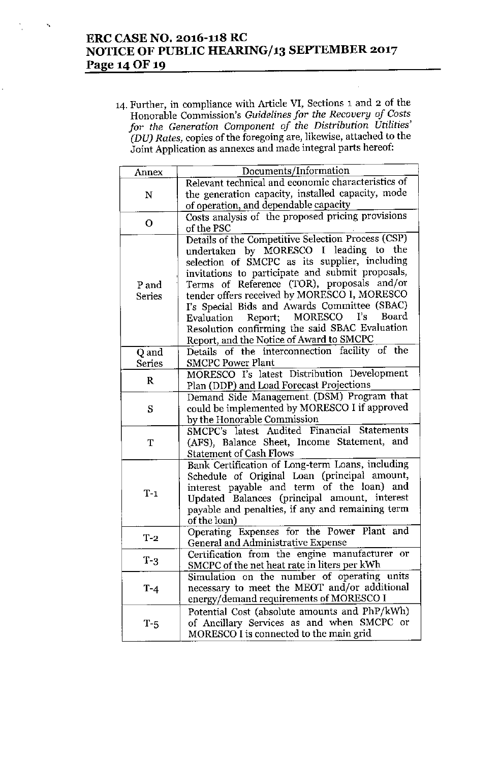## **ERC CASE NO. 2016-118 RC NOTICE OF PUBLIC** *HEARlNGJ13* **SEPTEMBER 2017 Page** 14 OF 19

'.

**14. Further, in compliance with Article VI, Sections 1 and 2 of the Honorable Commission's** *Guidelines for the Recovery of Costs for the Generation Component of the Distribution Utilities' (DU) Rates, copies* of the foregoing are, likewise, attached to the **Joint Application as annexes and made integral parts hereof:**

| Annex         | Documents/Information                                                                      |
|---------------|--------------------------------------------------------------------------------------------|
|               | Relevant technical and economic characteristics of                                         |
| $\mathbf N$   | the generation capacity, installed capacity, mode                                          |
|               | of operation, and dependable capacity                                                      |
|               | Costs analysis of the proposed pricing provisions                                          |
| O             | of the PSC                                                                                 |
|               | Details of the Competitive Selection Process (CSP)                                         |
|               | undertaken by MORESCO I leading to the                                                     |
|               | selection of SMCPC as its supplier, including                                              |
|               | invitations to participate and submit proposals,                                           |
| P and         | Terms of Reference (TOR), proposals and/or                                                 |
| Series        | tender offers received by MORESCO I, MORESCO                                               |
|               | I's Special Bids and Awards Committee (SBAC)                                               |
|               | Evaluation Report; MORESCO I's Board                                                       |
|               | Resolution confirming the said SBAC Evaluation                                             |
|               | Report, and the Notice of Award to SMCPC                                                   |
| Q and         | Details of the interconnection facility of the                                             |
| <b>Series</b> | <b>SMCPC Power Plant</b>                                                                   |
| $\mathbf R$   | MORESCO I's latest Distribution Development                                                |
|               | Plan (DDP) and Load Forecast Projections                                                   |
|               | Demand Side Management (DSM) Program that                                                  |
| S             | could be implemented by MORESCO I if approved                                              |
|               | by the Honorable Commission                                                                |
|               | SMCPC's latest Audited Financial Statements                                                |
| T             | (AFS), Balance Sheet, Income Statement, and                                                |
|               | <b>Statement of Cash Flows</b>                                                             |
|               | Bank Certification of Long-term Loans, including                                           |
|               | Schedule of Original Loan (principal amount,                                               |
| $T-1$         | interest payable and term of the loan) and                                                 |
|               | Updated Balances (principal amount, interest                                               |
|               | payable and penalties, if any and remaining term                                           |
|               | of the loan)                                                                               |
| $T-2$         | Operating Expenses for the Power Plant and                                                 |
|               | General and Administrative Expense<br>or                                                   |
| $T-3$         | Certification from the engine manufacturer<br>SMCPC of the net heat rate in liters per kWh |
|               | Simulation on the number of operating units                                                |
|               | necessary to meet the MEOT and/or additional                                               |
| $T-4$         | energy/demand requirements of MORESCO I                                                    |
|               | Potential Cost (absolute amounts and PhP/kWh)                                              |
|               | of Ancillary Services as and when SMCPC or                                                 |
| T-5           | MORESCO I is connected to the main grid                                                    |
|               |                                                                                            |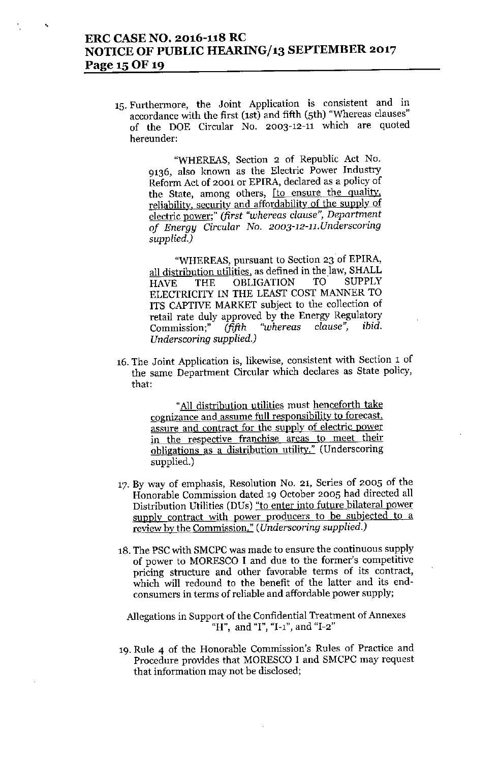## **ERC CASE NO. 2016-118 RC NOTICE OF PUBLIC HEARING/13 SEPTEMBER 2017 Page 1S0F 19**

**15.Furthermore, the Joint Application is consistent and in** accordance with the first (1st) and fifth (5th) "Whereas clauses" of the DOE Circular No. 2003-12-11 which are quoted **hereunder:**

> "WHEREAS, Section 2 of Republic Act No. **9136, also known as the Electric Power Industry Reform Act of 2001 or EPlRA, declared as a policy of the State, among others, [to ensure the quality,** reliability, security and affordability of the supply of **electric power;"** *(first "whereas clause", Department of Energy Circular No. 2003-12-11.Underscoring supplied.)*

> "WHEREAS, pursuant to Section 23 of EPIRA, **all distribution utilities. as defined in the)aw, SHALL** HAVE THE OBLIGATION TO ELECTRICITY IN THE LEAST COST MANNER TO ITS CAPTIVE MARKET subject to the collection of retail rate duly approved by the Energy Regulatory **Commission;"** *(fifth "whereas clause", ibid. Underscoring supplied.)*

**16. The Joint Application is, likewise, consistent with Section 1 of the same Department Circular which declares as State policy,** that:

> **"All distribution utilities must henceforth take cognizance and assume full responsibility to forecast, assure and contract for the supply of electric power in the respective franchise areas to meet their obligations as a distribution utility." (Underscoring** supplied.)

- **17. By way of emphasis, Resolution No. 21, Series of 2005 of the** Honorable Commission dated 19 October 2005 had directed all **Distribution Utilities (DUs) "to enter into future bilateral power supply contract with power producers to be subjected to a review by the Commission."** *(Underscoring supplied.)*
- 18. The PSC with SMCPC was made to ensure the continuous supply of power to MORESCO I and due to the former's competitive **pricing structure and other favorable terms of its contract,** which will redound to the benefit of the latter and its end**consumers in terms of reliable and affordable power supply;**

**Allegations in Support of the Confidential Treatment of Annexes "H", and "I", "I-I", and "1-2"**

**19. Rule 4 of the Honorable Commission's Rules of Practice and** Procedure provides that MORESCO I and SMCPC may request **that information may not be disclosed;**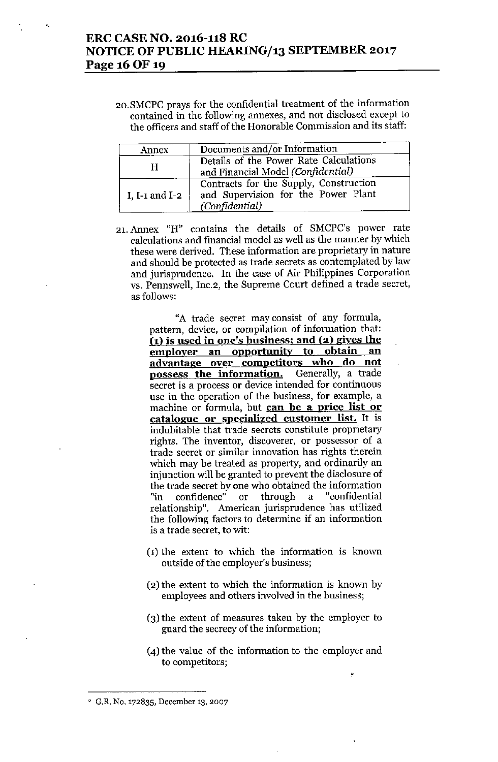### ERC CASE NO. 2016-118 RC NOTICE OF PUBLIC HEARING/13 SEPTEMBER 2017 Page 16 OF 19

..

2o.SMCPC prays for the confidential treatment of the information contained in the following annexes, and not disclosed except to the officers and staff of the Honorable Commission and its staff:

| Annex          | Documents and/or Information                                                                    |
|----------------|-------------------------------------------------------------------------------------------------|
| H              | Details of the Power Rate Calculations<br>and Financial Model (Confidential)                    |
| I, I-1 and I-2 | Contracts for the Supply, Construction<br>and Supervision for the Power Plant<br>(Confidential) |

21, Annex "H" contains the details of SMCPC's power rate calculations and financial model as well as the manner by which these were derived. These information are proprietary in nature and should be protected as trade secrets as contemplated by law and jurisprudence. In the case of Air Philippines Corporation VS. Pennswell, Inc.2, the Supreme Court defined a trade secret, as follows:

> "A trade secret may consist of any formula, pattern, device, or compilation of information that: ( $i$ ) is used in one's business; and  $(2)$  gives the employer an opportunity to obtain an advantage over competitors who do not possess the information. Generally, a trade secret is a process or device intended for continuous use in the operation of the business, for example, a machine or formula, but can be a price list or catalogue or specialized customer list. It is indubitable that trade secrets constitute proprietary rights. The inventor, discoverer, or possessor of a trade secret or similar innovation has rights therein which may be treated as property, and ordinarily an injunction will be granted to prevent the disclosure of the trade secret by one who obtained the information "in confidence" or through a "confidential relationship". American jurisprudence has utilized the following factors to determine if an information is a trade secret, to wit:

- $(1)$  the extent to which the information is known outside of the employer's business;
- (2) the extent to which the information is known by employees and others involved in the business;
- (3) the extent of measures taken hy the employer to guard the secrecy of the information;
- (4) the value of the information to the employer and to competitors;

•

<sup>2</sup> G.R No. 172835, December 13, 2007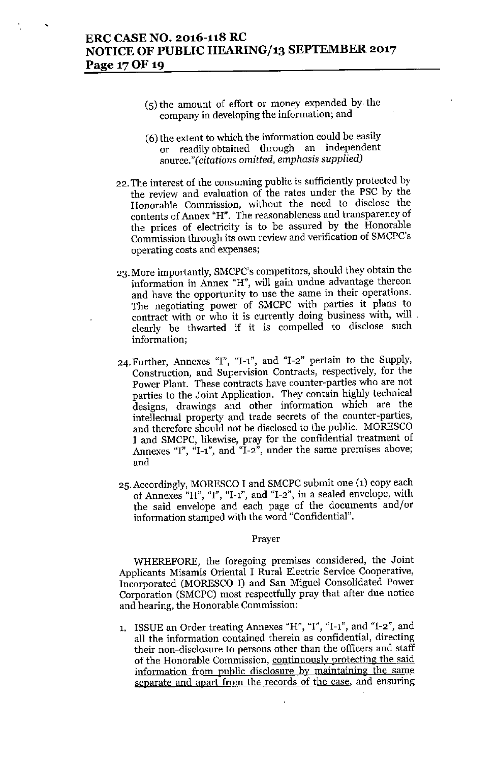- (5) the amount of effort or money expended by the company in developing the information; and
- (6) the extent to which the information could be easily or readily obtained through an independent *source,"(citations omitted, emphasis supplied]*
- 22. The interest of the consuming public is sufficiently protected by the review and evaluation of the rates under the PSC by the Honorable Commission, without the need to disclose the contents of Annex "H". The reasonableness and transparency of the prices of electricity is to be assured by the Honorable Commission through its own review and verification of SMCPC's operating costs and expenses;
- 23. More importantly, SMCPC's competitors, should they obtain the information in Annex "H", will gain undue advantage thereon and have the opportunity to use the same in their operations. The negotiating power of SMCPC with parties it plans to contract with or who **it** is currently doing business with, will clearly be thwarted if it is compelled to disclose such information;
- 24. Further, Annexes "1", "1-1", and "1-2" pertain to the Supply, Construction, and Supervision Contracts, respectively, for the Power Plant. These contracts have counter-parties who are not parties to the Joint Application. They contain highly technical designs, drawings and other information which are the intellectual property and trade secrets of the counter-parties, and therefore should not be disclosed to the public. MORESCO I and SMCPC, likewise, pray for the confidential treatment of Annexes "1", "I-I", and "1-2", under the same premises above; and
- 25. Accordingly, MORESCO I and SMCPC submit one (1) copy each of Annexes "H", "1", "I-I", and "1-2", in a sealed envelope, with the said envelope and each page of the documents and/or information stamped with the word "Confidential".

#### Prayer

WHEREFORE, the foregoing premises considered, the Joint Applicants Misamis Oriental I Rural Electric Service Cooperative, Incorporated (MORESCO I) and San Miguel Consolidated Power Corporation (SMCPC) most respectfully pray that after due notice and hearing, the Honorable Commission:

1. ISSUE an Order treating Annexes "H", "I", "I-I", and "1-2", and all the information contained therein as confidential, directing their non-disclosure to persons other than the officers and staff of the Honorable Commission, continuously protecting the said information from public disclosure by maintaining the same separate and apart from the records of the case, and ensuring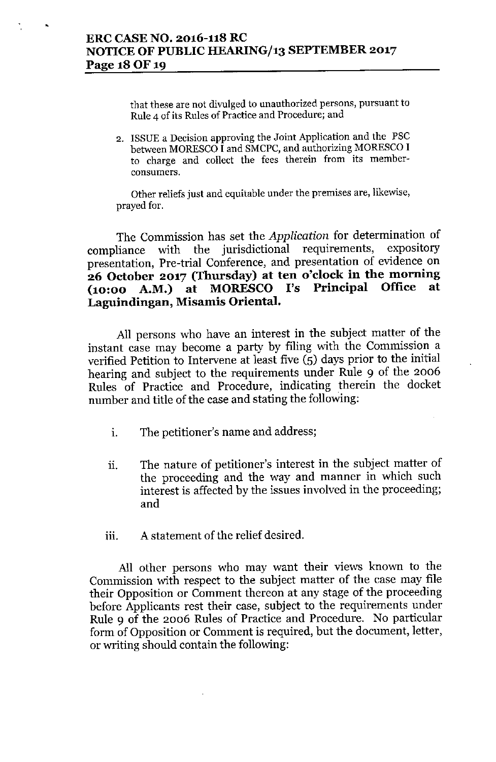•

**that these are not divulged to unauthorized persons, pursuant to Rule 4 of its Rules of Practice and Procedure; and**

2. ISSUE a Decision approving the Joint Application and the PSC between MORESCO I and SMCPC, and authorizing MORESCO I **to charge and collect the fees therein from its memberconsumers.**

**Other reliefs just and equitable under the premises are, likewise,** prayed for.

The Commission has set the *Application* for determination of compliance with the jurisdictional requirements, expository presentation, Pre-trial Conference, and presentation of evidence on **26 October 2017 (Thursday) at ten o'clock in the morning (10:00 A.M.) at MORESCO I's Principal Office at Lagnindingan, Misamis Oriental.**

All persons who have an interest in the subject matter of the instant case may become a party by filing with the Commission a verified Petition to Intervene at least five (5) days prior to the initial hearing and subject to the requirements under Rule 9 of the 2006 Rules of Practice and Procedure, indicating therein the docket number and title of the case and stating the following:

- i. The petitioner's name and address;
- i. The nature of petitioner's interest in the subject matter of the proceeding and the way and manner in which such interest is affected by the issues involved in the proceeding; and
- iii. A statement of the relief desired.

All other persons who may want their views known to the Commission with respect to the subject matter of the case may file their Opposition or Comment thereon at any stage of the proceeding before Applicants rest their case, subject to the requirements under Rule 9 of the 2006 Rules of Practice and Procedure. No particular form of Opposition or Comment is required, but the document, letter, or writing should contain the following: